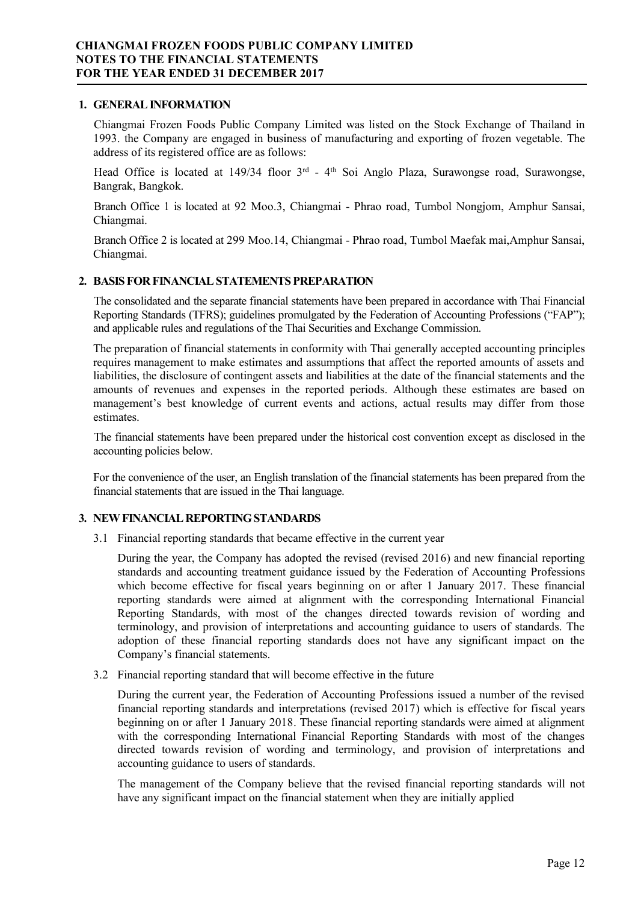#### **1. GENERAL INFORMATION**

Chiangmai Frozen Foods Public Company Limited was listed on the Stock Exchange of Thailand in 1993. the Company are engaged in business of manufacturing and exporting of frozen vegetable. The address of its registered office are as follows:

Head Office is located at 149/34 floor 3<sup>rd</sup> - 4<sup>th</sup> Soi Anglo Plaza, Surawongse road, Surawongse, Bangrak, Bangkok.

Branch Office 1 is located at 92 Moo.3, Chiangmai - Phrao road, Tumbol Nongjom, Amphur Sansai, Chiangmai.

Branch Office 2 is located at 299 Moo.14, Chiangmai - Phrao road, Tumbol Maefak mai,Amphur Sansai, Chiangmai.

# **2. BASIS FOR FINANCIAL STATEMENTS PREPARATION**

The consolidated and the separate financial statements have been prepared in accordance with Thai Financial Reporting Standards (TFRS); guidelines promulgated by the Federation of Accounting Professions ("FAP"); and applicable rules and regulations of the Thai Securities and Exchange Commission.

The preparation of financial statements in conformity with Thai generally accepted accounting principles requires management to make estimates and assumptions that affect the reported amounts of assets and liabilities, the disclosure of contingent assets and liabilities at the date of the financial statements and the amounts of revenues and expenses in the reported periods. Although these estimates are based on management's best knowledge of current events and actions, actual results may differ from those estimates.

The financial statements have been prepared under the historical cost convention except as disclosed in the accounting policies below.

For the convenience of the user, an English translation of the financial statements has been prepared from the financial statements that are issued in the Thai language.

### **3. NEW FINANCIAL REPORTING STANDARDS**

3.1 Financial reporting standards that became effective in the current year

During the year, the Company has adopted the revised (revised 2016) and new financial reporting standards and accounting treatment guidance issued by the Federation of Accounting Professions which become effective for fiscal years beginning on or after 1 January 2017. These financial reporting standards were aimed at alignment with the corresponding International Financial Reporting Standards, with most of the changes directed towards revision of wording and terminology, and provision of interpretations and accounting guidance to users of standards. The adoption of these financial reporting standards does not have any significant impact on the Company's financial statements.

3.2 Financial reporting standard that will become effective in the future

During the current year, the Federation of Accounting Professions issued a number of the revised financial reporting standards and interpretations (revised 2017) which is effective for fiscal years beginning on or after 1 January 2018. These financial reporting standards were aimed at alignment with the corresponding International Financial Reporting Standards with most of the changes directed towards revision of wording and terminology, and provision of interpretations and accounting guidance to users of standards.

The management of the Company believe that the revised financial reporting standards will not have any significant impact on the financial statement when they are initially applied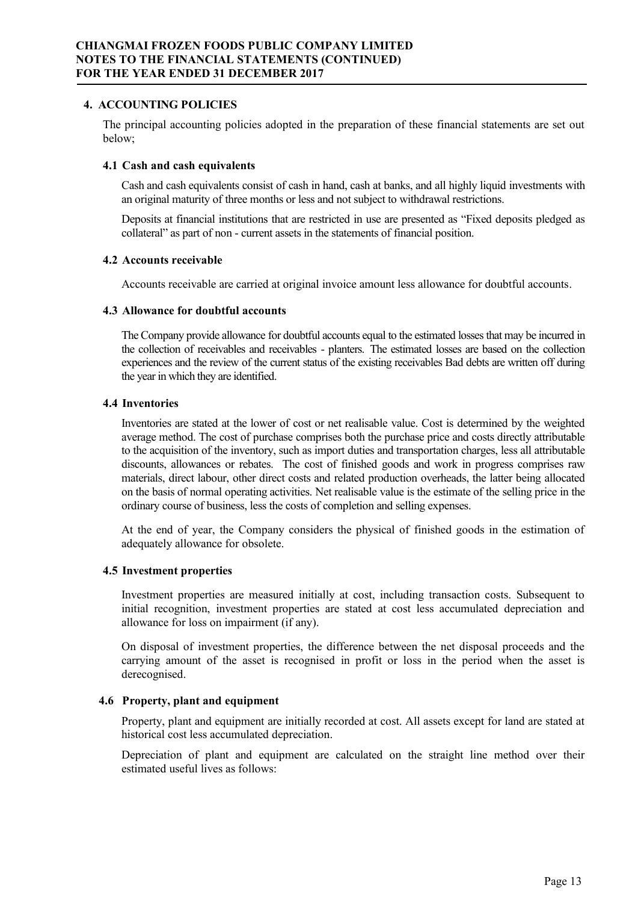### **4. ACCOUNTING POLICIES**

The principal accounting policies adopted in the preparation of these financial statements are set out below;

# **4.1 Cash and cash equivalents**

Cash and cash equivalents consist of cash in hand, cash at banks, and all highly liquid investments with an original maturity of three months or less and not subject to withdrawal restrictions.

Deposits at financial institutions that are restricted in use are presented as "Fixed deposits pledged as collateral" as part of non - current assets in the statements of financial position.

### **4.2 Accounts receivable**

Accounts receivable are carried at original invoice amount less allowance for doubtful accounts.

# **4.3 Allowance for doubtful accounts**

The Company provide allowance for doubtful accounts equal to the estimated losses that may be incurred in the collection of receivables and receivables - planters. The estimated losses are based on the collection experiences and the review of the current status of the existing receivables Bad debts are written off during the year in which they are identified.

# **4.4 Inventories**

Inventories are stated at the lower of cost or net realisable value. Cost is determined by the weighted average method. The cost of purchase comprises both the purchase price and costs directly attributable to the acquisition of the inventory, such as import duties and transportation charges, less all attributable discounts, allowances or rebates. The cost of finished goods and work in progress comprises raw materials, direct labour, other direct costs and related production overheads, the latter being allocated on the basis of normal operating activities. Net realisable value is the estimate of the selling price in the ordinary course of business, less the costs of completion and selling expenses.

At the end of year, the Company considers the physical of finished goods in the estimation of adequately allowance for obsolete.

# **4.5 Investment properties**

Investment properties are measured initially at cost, including transaction costs. Subsequent to initial recognition, investment properties are stated at cost less accumulated depreciation and allowance for loss on impairment (if any).

On disposal of investment properties, the difference between the net disposal proceeds and the carrying amount of the asset is recognised in profit or loss in the period when the asset is derecognised.

# **4.6 Property, plant and equipment**

Property, plant and equipment are initially recorded at cost. All assets except for land are stated at historical cost less accumulated depreciation.

Depreciation of plant and equipment are calculated on the straight line method over their estimated useful lives as follows: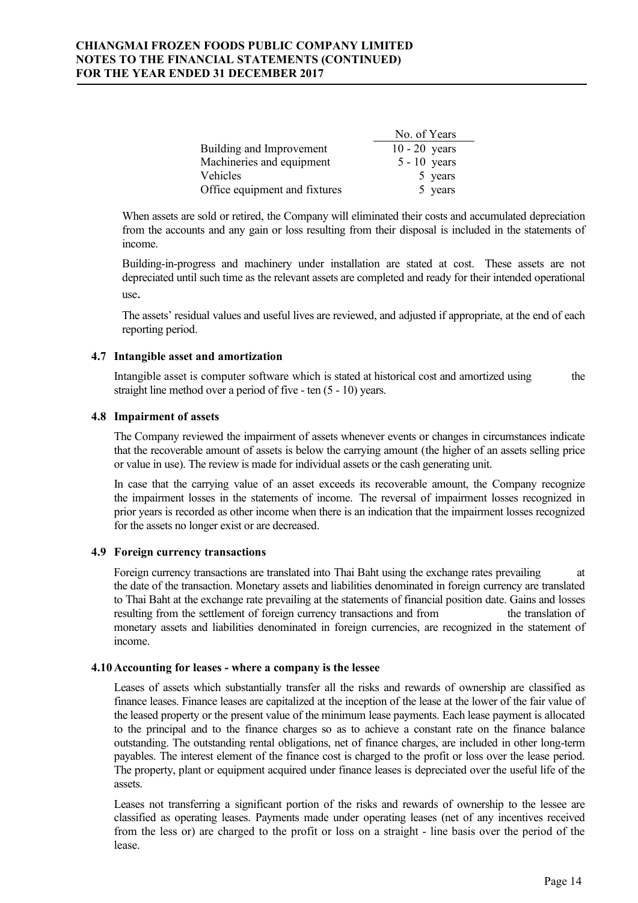|                               | No. of Years    |
|-------------------------------|-----------------|
| Building and Improvement      | $10 - 20$ years |
| Machineries and equipment     | $5 - 10$ years  |
| Vehicles                      | 5 years         |
| Office equipment and fixtures | 5 years         |

When assets are sold or retired, the Company will eliminated their costs and accumulated depreciation from the accounts and any gain or loss resulting from their disposal is included in the statements of income.

Building-in-progress and machinery under installation are stated at cost. These assets are not depreciated until such time as the relevant assets are completed and ready for their intended operational use.

The assets' residual values and useful lives are reviewed, and adjusted if appropriate, at the end of each reporting period.

### **4.7 Intangible asset and amortization**

Intangible asset is computer software which is stated at historical cost and amortized using the straight line method over a period of five - ten (5 - 10) years.

### **4.8 Impairment of assets**

The Company reviewed the impairment of assets whenever events or changes in circumstances indicate that the recoverable amount of assets is below the carrying amount (the higher of an assets selling price or value in use). The review is made for individual assets or the cash generating unit.

In case that the carrying value of an asset exceeds its recoverable amount, the Company recognize the impairment losses in the statements of income. The reversal of impairment losses recognized in prior years is recorded as other income when there is an indication that the impairment losses recognized for the assets no longer exist or are decreased.

### **4.9 Foreign currency transactions**

Foreign currency transactions are translated into Thai Baht using the exchange rates prevailing at the date of the transaction. Monetary assets and liabilities denominated in foreign currency are translated to Thai Baht at the exchange rate prevailing at the statements of financial position date. Gains and losses resulting from the settlement of foreign currency transactions and from the translation of monetary assets and liabilities denominated in foreign currencies, are recognized in the statement of income.

# **4.10 Accounting for leases - where a company is the lessee**

Leases of assets which substantially transfer all the risks and rewards of ownership are classified as finance leases. Finance leases are capitalized at the inception of the lease at the lower of the fair value of the leased property or the present value of the minimum lease payments. Each lease payment is allocated to the principal and to the finance charges so as to achieve a constant rate on the finance balance outstanding. The outstanding rental obligations, net of finance charges, are included in other long-term payables. The interest element of the finance cost is charged to the profit or loss over the lease period. The property, plant or equipment acquired under finance leases is depreciated over the useful life of the assets.

Leases not transferring a significant portion of the risks and rewards of ownership to the lessee are classified as operating leases. Payments made under operating leases (net of any incentives received from the less or) are charged to the profit or loss on a straight - line basis over the period of the lease.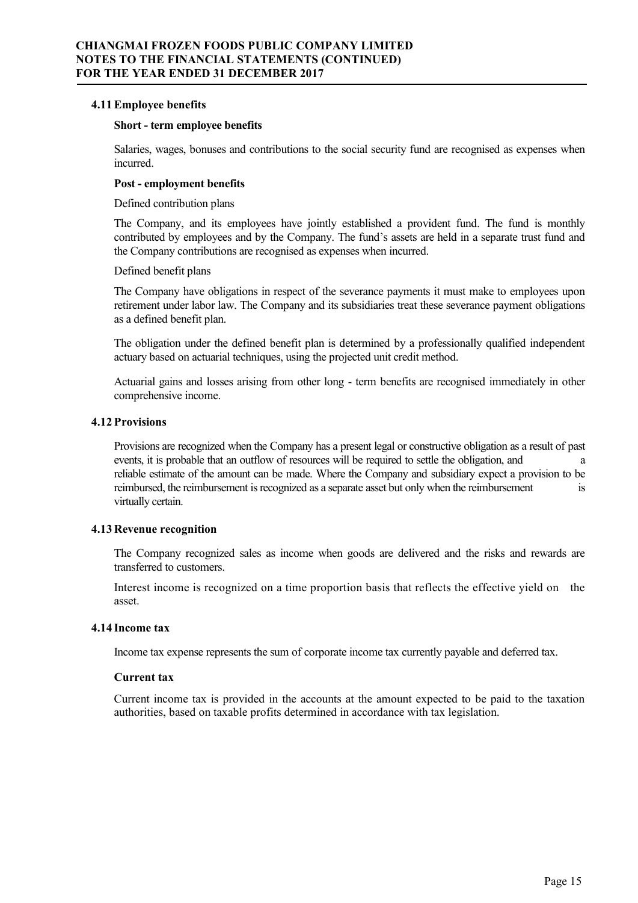### **4.11Employee benefits**

#### **Short - term employee benefits**

Salaries, wages, bonuses and contributions to the social security fund are recognised as expenses when incurred.

#### **Post - employment benefits**

Defined contribution plans

The Company, and its employees have jointly established a provident fund. The fund is monthly contributed by employees and by the Company. The fund's assets are held in a separate trust fund and the Company contributions are recognised as expenses when incurred.

#### Defined benefit plans

The Company have obligations in respect of the severance payments it must make to employees upon retirement under labor law. The Company and its subsidiaries treat these severance payment obligations as a defined benefit plan.

The obligation under the defined benefit plan is determined by a professionally qualified independent actuary based on actuarial techniques, using the projected unit credit method.

Actuarial gains and losses arising from other long - term benefits are recognised immediately in other comprehensive income.

#### **4.12 Provisions**

Provisions are recognized when the Company has a present legal or constructive obligation as a result of past events, it is probable that an outflow of resources will be required to settle the obligation, and a reliable estimate of the amount can be made. Where the Company and subsidiary expect a provision to be reimbursed, the reimbursement is recognized as a separate asset but only when the reimbursement is virtually certain.

### **4.13 Revenue recognition**

The Company recognized sales as income when goods are delivered and the risks and rewards are transferred to customers.

Interest income is recognized on a time proportion basis that reflects the effective yield on the asset.

### **4.14 Income tax**

Income tax expense represents the sum of corporate income tax currently payable and deferred tax.

#### **Current tax**

Current income tax is provided in the accounts at the amount expected to be paid to the taxation authorities, based on taxable profits determined in accordance with tax legislation.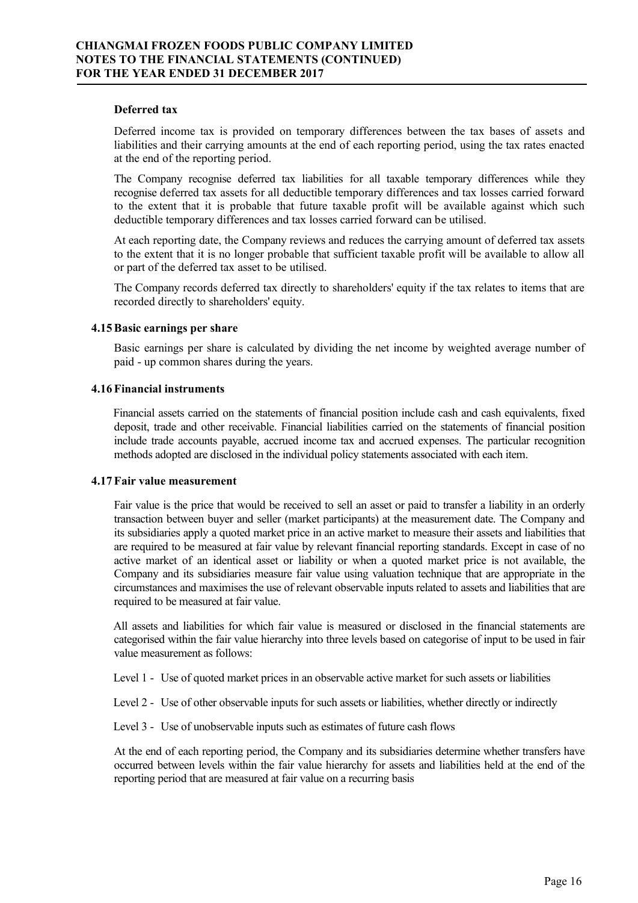#### **Deferred tax**

Deferred income tax is provided on temporary differences between the tax bases of assets and liabilities and their carrying amounts at the end of each reporting period, using the tax rates enacted at the end of the reporting period.

The Company recognise deferred tax liabilities for all taxable temporary differences while they recognise deferred tax assets for all deductible temporary differences and tax losses carried forward to the extent that it is probable that future taxable profit will be available against which such deductible temporary differences and tax losses carried forward can be utilised.

At each reporting date, the Company reviews and reduces the carrying amount of deferred tax assets to the extent that it is no longer probable that sufficient taxable profit will be available to allow all or part of the deferred tax asset to be utilised.

The Company records deferred tax directly to shareholders' equity if the tax relates to items that are recorded directly to shareholders' equity.

#### **4.15Basic earnings per share**

Basic earnings per share is calculated by dividing the net income by weighted average number of paid - up common shares during the years.

#### **4.16 Financial instruments**

Financial assets carried on the statements of financial position include cash and cash equivalents, fixed deposit, trade and other receivable. Financial liabilities carried on the statements of financial position include trade accounts payable, accrued income tax and accrued expenses. The particular recognition methods adopted are disclosed in the individual policy statements associated with each item.

#### **4.17 Fair value measurement**

Fair value is the price that would be received to sell an asset or paid to transfer a liability in an orderly transaction between buyer and seller (market participants) at the measurement date. The Company and its subsidiaries apply a quoted market price in an active market to measure their assets and liabilities that are required to be measured at fair value by relevant financial reporting standards. Except in case of no active market of an identical asset or liability or when a quoted market price is not available, the Company and its subsidiaries measure fair value using valuation technique that are appropriate in the circumstances and maximises the use of relevant observable inputs related to assets and liabilities that are required to be measured at fair value.

All assets and liabilities for which fair value is measured or disclosed in the financial statements are categorised within the fair value hierarchy into three levels based on categorise of input to be used in fair value measurement as follows:

Level 1 - Use of quoted market prices in an observable active market for such assets or liabilities

Level 2 - Use of other observable inputs for such assets or liabilities, whether directly or indirectly

Level 3 - Use of unobservable inputs such as estimates of future cash flows

At the end of each reporting period, the Company and its subsidiaries determine whether transfers have occurred between levels within the fair value hierarchy for assets and liabilities held at the end of the reporting period that are measured at fair value on a recurring basis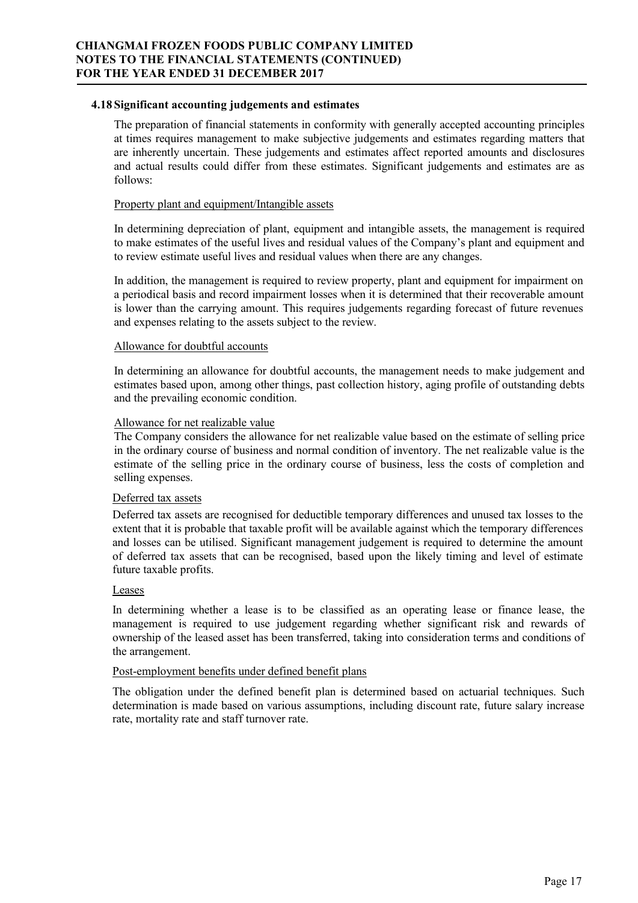### **4.18 Significant accounting judgements and estimates**

The preparation of financial statements in conformity with generally accepted accounting principles at times requires management to make subjective judgements and estimates regarding matters that are inherently uncertain. These judgements and estimates affect reported amounts and disclosures and actual results could differ from these estimates. Significant judgements and estimates are as follows:

# Property plant and equipment/Intangible assets

In determining depreciation of plant, equipment and intangible assets, the management is required to make estimates of the useful lives and residual values of the Company's plant and equipment and to review estimate useful lives and residual values when there are any changes.

In addition, the management is required to review property, plant and equipment for impairment on a periodical basis and record impairment losses when it is determined that their recoverable amount is lower than the carrying amount. This requires judgements regarding forecast of future revenues and expenses relating to the assets subject to the review.

# Allowance for doubtful accounts

In determining an allowance for doubtful accounts, the management needs to make judgement and estimates based upon, among other things, past collection history, aging profile of outstanding debts and the prevailing economic condition.

# Allowance for net realizable value

The Company considers the allowance for net realizable value based on the estimate of selling price in the ordinary course of business and normal condition of inventory. The net realizable value is the estimate of the selling price in the ordinary course of business, less the costs of completion and selling expenses.

# Deferred tax assets

Deferred tax assets are recognised for deductible temporary differences and unused tax losses to the extent that it is probable that taxable profit will be available against which the temporary differences and losses can be utilised. Significant management judgement is required to determine the amount of deferred tax assets that can be recognised, based upon the likely timing and level of estimate future taxable profits.

### Leases

In determining whether a lease is to be classified as an operating lease or finance lease, the management is required to use judgement regarding whether significant risk and rewards of ownership of the leased asset has been transferred, taking into consideration terms and conditions of the arrangement.

### Post-employment benefits under defined benefit plans

The obligation under the defined benefit plan is determined based on actuarial techniques. Such determination is made based on various assumptions, including discount rate, future salary increase rate, mortality rate and staff turnover rate.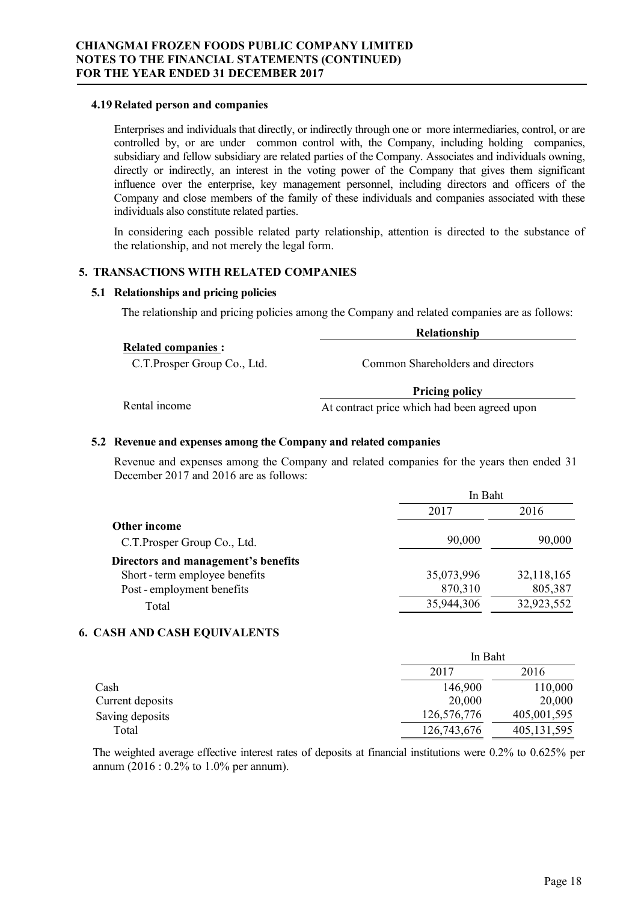#### **4.19 Related person and companies**

Enterprises and individuals that directly, or indirectly through one or more intermediaries, control, or are controlled by, or are under common control with, the Company, including holding companies, subsidiary and fellow subsidiary are related parties of the Company. Associates and individuals owning, directly or indirectly, an interest in the voting power of the Company that gives them significant influence over the enterprise, key management personnel, including directors and officers of the Company and close members of the family of these individuals and companies associated with these individuals also constitute related parties.

In considering each possible related party relationship, attention is directed to the substance of the relationship, and not merely the legal form.

# **5. TRANSACTIONS WITH RELATED COMPANIES**

### **5.1 Relationships and pricing policies**

The relationship and pricing policies among the Company and related companies are as follows:

|                             | Relationship                      |
|-----------------------------|-----------------------------------|
| <b>Related companies:</b>   |                                   |
| C.T.Prosper Group Co., Ltd. | Common Shareholders and directors |
|                             | <b>Pricing policy</b>             |

Rental income At contract price which had been agreed upon

# **5.2 Revenue and expenses among the Company and related companies**

Revenue and expenses among the Company and related companies for the years then ended 31 December 2017 and 2016 are as follows:

|                                     | In Baht    |            |  |
|-------------------------------------|------------|------------|--|
|                                     | 2017       | 2016       |  |
| Other income                        |            |            |  |
| C.T. Prosper Group Co., Ltd.        | 90,000     | 90,000     |  |
| Directors and management's benefits |            |            |  |
| Short - term employee benefits      | 35,073,996 | 32,118,165 |  |
| Post - employment benefits          | 870,310    | 805,387    |  |
| Total                               | 35,944,306 | 32,923,552 |  |

### **6. CASH AND CASH EQUIVALENTS**

|                  | In Baht      |               |  |
|------------------|--------------|---------------|--|
|                  | 2016<br>2017 |               |  |
| Cash             | 146,900      | 110,000       |  |
| Current deposits | 20,000       | 20,000        |  |
| Saving deposits  | 126,576,776  | 405,001,595   |  |
| Total            | 126,743,676  | 405, 131, 595 |  |

The weighted average effective interest rates of deposits at financial institutions were 0.2% to 0.625% per annum (2016 : 0.2% to 1.0% per annum).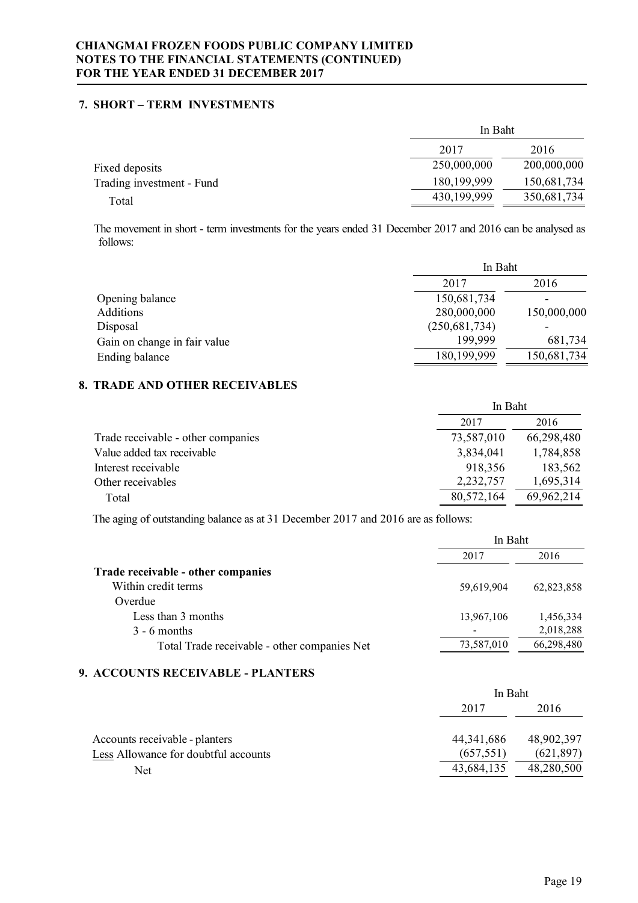# **7. SHORT – TERM INVESTMENTS**

|                           |               | In Baht     |  |  |
|---------------------------|---------------|-------------|--|--|
|                           | 2017          | 2016        |  |  |
| Fixed deposits            | 250,000,000   | 200,000,000 |  |  |
| Trading investment - Fund | 180, 199, 999 | 150,681,734 |  |  |
| Total                     | 430,199,999   | 350,681,734 |  |  |
|                           |               |             |  |  |

The movement in short - term investments for the years ended 31 December 2017 and 2016 can be analysed as follows:

|                              | In Baht         |             |  |
|------------------------------|-----------------|-------------|--|
|                              | 2017            | 2016        |  |
| Opening balance              | 150,681,734     |             |  |
| Additions                    | 280,000,000     | 150,000,000 |  |
| Disposal                     | (250, 681, 734) |             |  |
| Gain on change in fair value | 199.999         | 681,734     |  |
| Ending balance               | 180,199,999     | 150,681,734 |  |

# **8. TRADE AND OTHER RECEIVABLES**

| 2016<br>2017                                                   |           |
|----------------------------------------------------------------|-----------|
| 66,298,480<br>73,587,010<br>Trade receivable - other companies |           |
| Value added tax receivable<br>3,834,041                        | 1,784,858 |
| Interest receivable<br>918,356                                 | 183,562   |
| 2,232,757<br>Other receivables                                 | 1,695,314 |
| 69,962,214<br>80,572,164<br>Total                              |           |

The aging of outstanding balance as at 31 December 2017 and 2016 are as follows:

|                                              | In Baht    |            |  |
|----------------------------------------------|------------|------------|--|
|                                              | 2017       | 2016       |  |
| Trade receivable - other companies           |            |            |  |
| Within credit terms                          | 59,619,904 | 62,823,858 |  |
| Overdue                                      |            |            |  |
| Less than 3 months                           | 13,967,106 | 1,456,334  |  |
| $3 - 6$ months                               |            | 2,018,288  |  |
| Total Trade receivable - other companies Net | 73,587,010 | 66,298,480 |  |
|                                              |            |            |  |

# **9. ACCOUNTS RECEIVABLE - PLANTERS**

|                                      | In Baht      |            |  |
|--------------------------------------|--------------|------------|--|
|                                      | 2017         | 2016       |  |
| Accounts receivable - planters       | 44, 341, 686 | 48,902,397 |  |
| Less Allowance for doubtful accounts | (657, 551)   | (621, 897) |  |
| Net                                  | 43,684,135   | 48,280,500 |  |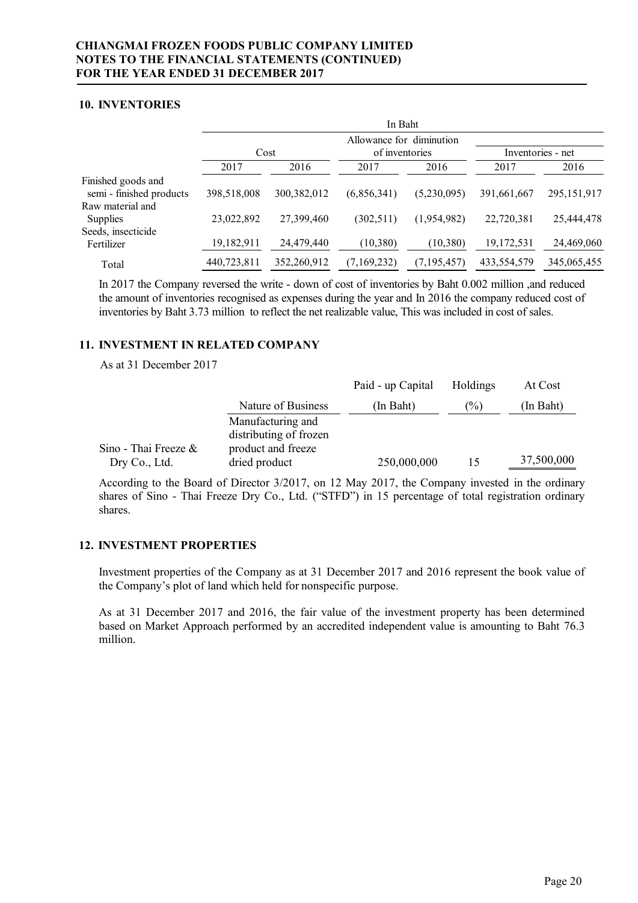### **10. INVENTORIES**

|                                                |             |               | In Baht                                    |               |                   |               |
|------------------------------------------------|-------------|---------------|--------------------------------------------|---------------|-------------------|---------------|
|                                                | Cost        |               | Allowance for diminution<br>of inventories |               | Inventories - net |               |
|                                                | 2017        | 2016          | 2017                                       | 2016          | 2017              | 2016          |
| Finished goods and<br>semi - finished products | 398,518,008 | 300, 382, 012 | (6,856,341)                                | (5,230,095)   | 391,661,667       | 295, 151, 917 |
| Raw material and<br>Supplies                   | 23,022,892  | 27,399,460    | (302, 511)                                 | (1,954,982)   | 22,720,381        | 25,444,478    |
| Seeds, insecticide<br>Fertilizer               | 19,182,911  | 24,479,440    | (10, 380)                                  | (10, 380)     | 19,172,531        | 24,469,060    |
| Total                                          | 440,723,811 | 352,260,912   | (7,169,232)                                | (7, 195, 457) | 433,554,579       | 345,065,455   |

In 2017 the Company reversed the write - down of cost of inventories by Baht 0.002 million ,and reduced the amount of inventories recognised as expenses during the year and In 2016 the company reduced cost of inventories by Baht 3.73 million to reflect the net realizable value, This was included in cost of sales.

# **11. INVESTMENT IN RELATED COMPANY**

As at 31 December 2017

|                                          |                                             | Paid - up Capital | Holdings | At Cost    |
|------------------------------------------|---------------------------------------------|-------------------|----------|------------|
|                                          | Nature of Business                          | (In Baht)         | (%)      | (In Baht)  |
|                                          | Manufacturing and<br>distributing of frozen |                   |          |            |
| Sino - Thai Freeze $\&$<br>Dry Co., Ltd. | product and freeze<br>dried product         | 250,000,000       | 15       | 37,500,000 |

According to the Board of Director 3/2017, on 12 May 2017, the Company invested in the ordinary shares of Sino - Thai Freeze Dry Co., Ltd. ("STFD") in 15 percentage of total registration ordinary shares.

# **12. INVESTMENT PROPERTIES**

Investment properties of the Company as at 31 December 2017 and 2016 represent the book value of the Company's plot of land which held for nonspecific purpose.

As at 31 December 2017 and 2016, the fair value of the investment property has been determined based on Market Approach performed by an accredited independent value is amounting to Baht 76.3 million.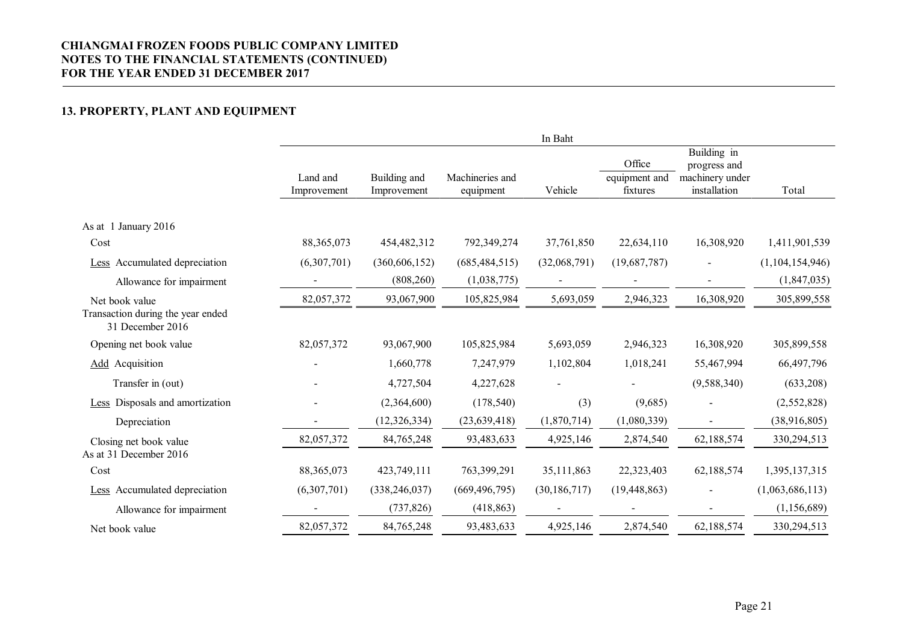# **13. PROPERTY, PLANT AND EQUIPMENT**

|                                                       |                         |                             |                              | In Baht        |                                     |                                                                |                 |
|-------------------------------------------------------|-------------------------|-----------------------------|------------------------------|----------------|-------------------------------------|----------------------------------------------------------------|-----------------|
|                                                       | Land and<br>Improvement | Building and<br>Improvement | Machineries and<br>equipment | Vehicle        | Office<br>equipment and<br>fixtures | Building in<br>progress and<br>machinery under<br>installation | Total           |
|                                                       |                         |                             |                              |                |                                     |                                                                |                 |
| As at 1 January 2016                                  |                         |                             |                              |                |                                     |                                                                |                 |
| Cost                                                  | 88, 365, 073            | 454,482,312                 | 792,349,274                  | 37,761,850     | 22,634,110                          | 16,308,920                                                     | 1,411,901,539   |
| Less Accumulated depreciation                         | (6,307,701)             | (360, 606, 152)             | (685, 484, 515)              | (32,068,791)   | (19,687,787)                        |                                                                | (1,104,154,946) |
| Allowance for impairment                              |                         | (808, 260)                  | (1,038,775)                  |                |                                     |                                                                | (1,847,035)     |
| Net book value                                        | 82,057,372              | 93,067,900                  | 105,825,984                  | 5,693,059      | 2,946,323                           | 16,308,920                                                     | 305,899,558     |
| Transaction during the year ended<br>31 December 2016 |                         |                             |                              |                |                                     |                                                                |                 |
| Opening net book value                                | 82,057,372              | 93,067,900                  | 105,825,984                  | 5,693,059      | 2,946,323                           | 16,308,920                                                     | 305,899,558     |
| <b>Add</b> Acquisition                                |                         | 1,660,778                   | 7,247,979                    | 1,102,804      | 1,018,241                           | 55,467,994                                                     | 66,497,796      |
| Transfer in (out)                                     |                         | 4,727,504                   | 4,227,628                    |                |                                     | (9, 588, 340)                                                  | (633,208)       |
| Less Disposals and amortization                       |                         | (2,364,600)                 | (178, 540)                   | (3)            | (9,685)                             |                                                                | (2,552,828)     |
| Depreciation                                          |                         | (12, 326, 334)              | (23, 639, 418)               | (1,870,714)    | (1,080,339)                         |                                                                | (38,916,805)    |
| Closing net book value                                | 82,057,372              | 84,765,248                  | 93,483,633                   | 4,925,146      | 2,874,540                           | 62,188,574                                                     | 330,294,513     |
| As at 31 December 2016                                |                         |                             |                              |                |                                     |                                                                |                 |
| Cost                                                  | 88, 365, 073            | 423,749,111                 | 763,399,291                  | 35,111,863     | 22,323,403                          | 62,188,574                                                     | 1,395,137,315   |
| Less Accumulated depreciation                         | (6,307,701)             | (338, 246, 037)             | (669, 496, 795)              | (30, 186, 717) | (19, 448, 863)                      |                                                                | (1,063,686,113) |
| Allowance for impairment                              |                         | (737, 826)                  | (418, 863)                   |                |                                     |                                                                | (1, 156, 689)   |
| Net book value                                        | 82,057,372              | 84,765,248                  | 93,483,633                   | 4,925,146      | 2,874,540                           | 62,188,574                                                     | 330,294,513     |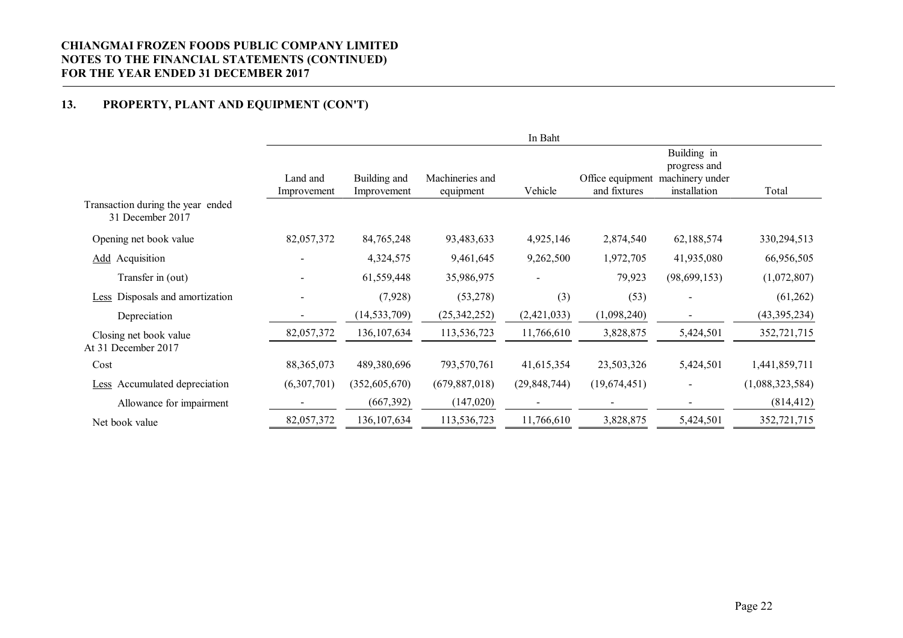# **13. PROPERTY, PLANT AND EQUIPMENT (CON'T)**

|                                                       |                         |                             |                              | In Baht        |                                  |                                                                |                 |
|-------------------------------------------------------|-------------------------|-----------------------------|------------------------------|----------------|----------------------------------|----------------------------------------------------------------|-----------------|
|                                                       | Land and<br>Improvement | Building and<br>Improvement | Machineries and<br>equipment | Vehicle        | Office equipment<br>and fixtures | Building in<br>progress and<br>machinery under<br>installation | Total           |
| Transaction during the year ended<br>31 December 2017 |                         |                             |                              |                |                                  |                                                                |                 |
| Opening net book value                                | 82,057,372              | 84,765,248                  | 93,483,633                   | 4,925,146      | 2,874,540                        | 62,188,574                                                     | 330,294,513     |
| <b>Add</b> Acquisition                                |                         | 4,324,575                   | 9,461,645                    | 9,262,500      | 1,972,705                        | 41,935,080                                                     | 66,956,505      |
| Transfer in (out)                                     | $\blacksquare$          | 61,559,448                  | 35,986,975                   |                | 79,923                           | (98, 699, 153)                                                 | (1,072,807)     |
| <b>Less</b> Disposals and amortization                |                         | (7,928)                     | (53, 278)                    | (3)            | (53)                             |                                                                | (61,262)        |
| Depreciation                                          |                         | (14, 533, 709)              | (25, 342, 252)               | (2,421,033)    | (1,098,240)                      |                                                                | (43, 395, 234)  |
| Closing net book value<br>At 31 December 2017         | 82,057,372              | 136, 107, 634               | 113,536,723                  | 11,766,610     | 3,828,875                        | 5,424,501                                                      | 352,721,715     |
| Cost                                                  | 88, 365, 073            | 489,380,696                 | 793,570,761                  | 41,615,354     | 23,503,326                       | 5,424,501                                                      | 1,441,859,711   |
| <b>Less</b> Accumulated depreciation                  | (6,307,701)             | (352,605,670)               | (679, 887, 018)              | (29, 848, 744) | (19,674,451)                     |                                                                | (1,088,323,584) |
| Allowance for impairment                              |                         | (667, 392)                  | (147,020)                    |                |                                  |                                                                | (814, 412)      |
| Net book value                                        | 82,057,372              | 136, 107, 634               | 113,536,723                  | 11,766,610     | 3,828,875                        | 5,424,501                                                      | 352,721,715     |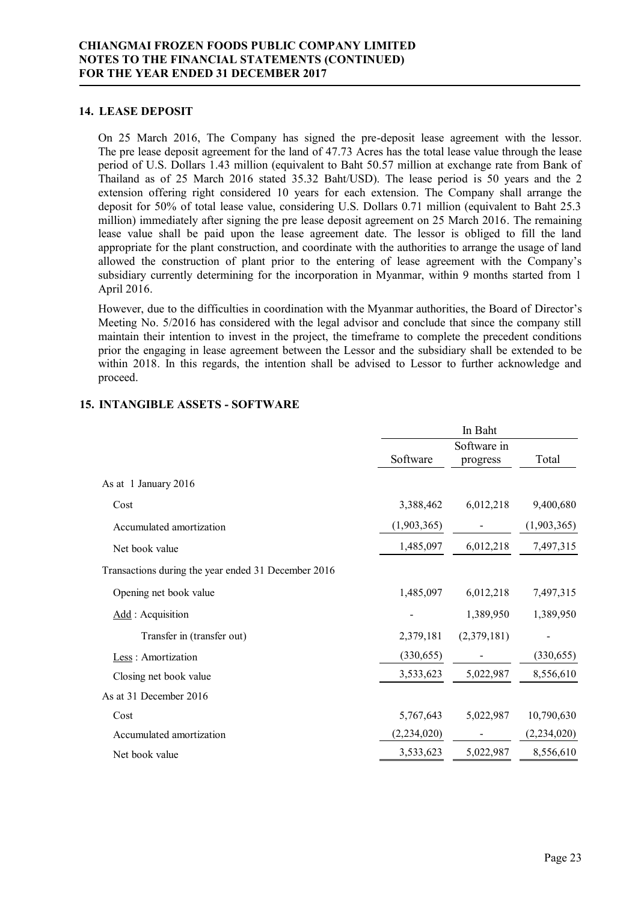### **14. LEASE DEPOSIT**

On 25 March 2016, The Company has signed the pre-deposit lease agreement with the lessor. The pre lease deposit agreement for the land of 47.73 Acres has the total lease value through the lease period of U.S. Dollars 1.43 million (equivalent to Baht 50.57 million at exchange rate from Bank of Thailand as of 25 March 2016 stated 35.32 Baht/USD). The lease period is 50 years and the 2 extension offering right considered 10 years for each extension. The Company shall arrange the deposit for 50% of total lease value, considering U.S. Dollars 0.71 million (equivalent to Baht 25.3 million) immediately after signing the pre lease deposit agreement on 25 March 2016. The remaining lease value shall be paid upon the lease agreement date. The lessor is obliged to fill the land appropriate for the plant construction, and coordinate with the authorities to arrange the usage of land allowed the construction of plant prior to the entering of lease agreement with the Company's subsidiary currently determining for the incorporation in Myanmar, within 9 months started from 1 April 2016.

However, due to the difficulties in coordination with the Myanmar authorities, the Board of Director's Meeting No. 5/2016 has considered with the legal advisor and conclude that since the company still maintain their intention to invest in the project, the timeframe to complete the precedent conditions prior the engaging in lease agreement between the Lessor and the subsidiary shall be extended to be within 2018. In this regards, the intention shall be advised to Lessor to further acknowledge and proceed.

|                                                     | In Baht       |                         |               |  |
|-----------------------------------------------------|---------------|-------------------------|---------------|--|
|                                                     | Software      | Software in<br>progress | Total         |  |
| As at 1 January 2016                                |               |                         |               |  |
| Cost                                                | 3,388,462     | 6,012,218               | 9,400,680     |  |
| Accumulated amortization                            | (1,903,365)   |                         | (1,903,365)   |  |
| Net book value                                      | 1,485,097     | 6,012,218               | 7,497,315     |  |
| Transactions during the year ended 31 December 2016 |               |                         |               |  |
| Opening net book value                              | 1,485,097     | 6,012,218               | 7,497,315     |  |
| Add: Acquisition                                    |               | 1,389,950               | 1,389,950     |  |
| Transfer in (transfer out)                          | 2,379,181     | (2,379,181)             |               |  |
| Less: Amortization                                  | (330, 655)    |                         | (330, 655)    |  |
| Closing net book value                              | 3,533,623     | 5,022,987               | 8,556,610     |  |
| As at 31 December 2016                              |               |                         |               |  |
| Cost                                                | 5,767,643     | 5,022,987               | 10,790,630    |  |
| Accumulated amortization                            | (2, 234, 020) |                         | (2, 234, 020) |  |
| Net book value                                      | 3,533,623     | 5,022,987               | 8,556,610     |  |

# **15. INTANGIBLE ASSETS - SOFTWARE**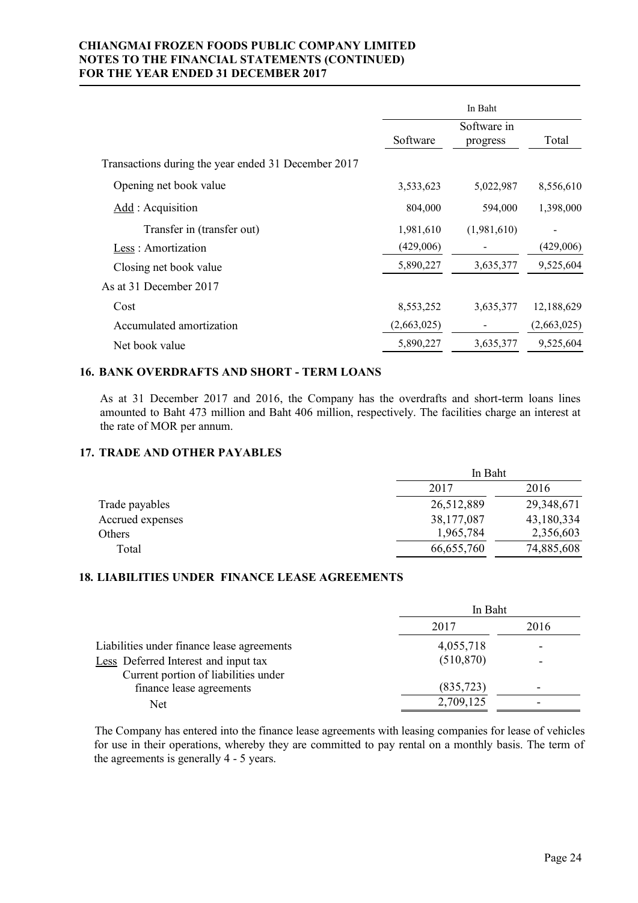|                                                     | In Baht     |                         |             |
|-----------------------------------------------------|-------------|-------------------------|-------------|
|                                                     | Software    | Software in<br>progress | Total       |
| Transactions during the year ended 31 December 2017 |             |                         |             |
| Opening net book value                              | 3,533,623   | 5,022,987               | 8,556,610   |
| Add : Acquisition                                   | 804,000     | 594,000                 | 1,398,000   |
| Transfer in (transfer out)                          | 1,981,610   | (1,981,610)             |             |
| Less: Amortization                                  | (429,006)   |                         | (429,006)   |
| Closing net book value                              | 5,890,227   | 3,635,377               | 9,525,604   |
| As at 31 December 2017                              |             |                         |             |
| Cost                                                | 8,553,252   | 3,635,377               | 12,188,629  |
| Accumulated amortization                            | (2,663,025) |                         | (2,663,025) |
| Net book value                                      | 5,890,227   | 3,635,377               | 9,525,604   |

# **16. BANK OVERDRAFTS AND SHORT - TERM LOANS**

As at 31 December 2017 and 2016, the Company has the overdrafts and short-term loans lines amounted to Baht 473 million and Baht 406 million, respectively. The facilities charge an interest at the rate of MOR per annum.

# **17. TRADE AND OTHER PAYABLES**

|                  |            | In Baht    |  |  |
|------------------|------------|------------|--|--|
|                  | 2017       | 2016       |  |  |
| Trade payables   | 26,512,889 | 29,348,671 |  |  |
| Accrued expenses | 38,177,087 | 43,180,334 |  |  |
| Others           | 1,965,784  | 2,356,603  |  |  |
| Total            | 66,655,760 | 74,885,608 |  |  |

### **18. LIABILITIES UNDER FINANCE LEASE AGREEMENTS**

|                                            | In Baht    |                          |  |
|--------------------------------------------|------------|--------------------------|--|
|                                            | 2017       | 2016                     |  |
| Liabilities under finance lease agreements | 4,055,718  | $\overline{\phantom{a}}$ |  |
| Less Deferred Interest and input tax       | (510, 870) | ۰                        |  |
| Current portion of liabilities under       |            |                          |  |
| finance lease agreements                   | (835, 723) |                          |  |
| Net                                        | 2,709,125  |                          |  |

The Company has entered into the finance lease agreements with leasing companies for lease of vehicles for use in their operations, whereby they are committed to pay rental on a monthly basis. The term of the agreements is generally 4 - 5 years.

 $I = I$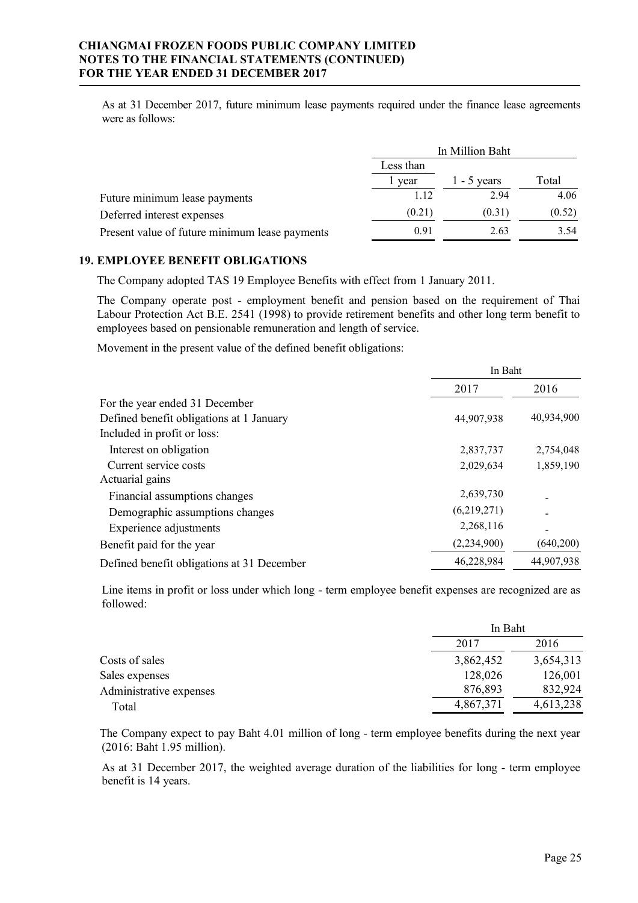As at 31 December 2017, future minimum lease payments required under the finance lease agreements were as follows:

|                                                | In Million Baht |               |        |  |
|------------------------------------------------|-----------------|---------------|--------|--|
|                                                | Less than       |               |        |  |
|                                                | vear            | $1 - 5$ years | Total  |  |
| Future minimum lease payments                  | 1.12            | 2.94          | 4.06   |  |
| Deferred interest expenses                     | (0.21)          | (0.31)        | (0.52) |  |
| Present value of future minimum lease payments | 0.91            | 2.63          | 3.54   |  |

#### **19. EMPLOYEE BENEFIT OBLIGATIONS**

The Company adopted TAS 19 Employee Benefits with effect from 1 January 2011.

The Company operate post - employment benefit and pension based on the requirement of Thai Labour Protection Act B.E. 2541 (1998) to provide retirement benefits and other long term benefit to employees based on pensionable remuneration and length of service.

Movement in the present value of the defined benefit obligations:

|                                            | In Baht       |            |  |
|--------------------------------------------|---------------|------------|--|
|                                            | 2017          | 2016       |  |
| For the year ended 31 December             |               |            |  |
| Defined benefit obligations at 1 January   | 44,907,938    | 40,934,900 |  |
| Included in profit or loss:                |               |            |  |
| Interest on obligation                     | 2,837,737     | 2,754,048  |  |
| Current service costs                      | 2,029,634     | 1,859,190  |  |
| Actuarial gains                            |               |            |  |
| Financial assumptions changes              | 2,639,730     |            |  |
| Demographic assumptions changes            | (6,219,271)   |            |  |
| Experience adjustments                     | 2,268,116     |            |  |
| Benefit paid for the year                  | (2, 234, 900) | (640, 200) |  |
| Defined benefit obligations at 31 December | 46,228,984    | 44,907,938 |  |

Line items in profit or loss under which long - term employee benefit expenses are recognized are as followed:

|                         |           | In Baht   |  |  |
|-------------------------|-----------|-----------|--|--|
|                         | 2017      | 2016      |  |  |
| Costs of sales          | 3,862,452 | 3,654,313 |  |  |
| Sales expenses          | 128,026   | 126,001   |  |  |
| Administrative expenses | 876,893   | 832,924   |  |  |
| Total                   | 4,867,371 | 4,613,238 |  |  |

The Company expect to pay Baht 4.01 million of long - term employee benefits during the next year (2016: Baht 1.95 million).

As at 31 December 2017, the weighted average duration of the liabilities for long - term employee benefit is 14 years.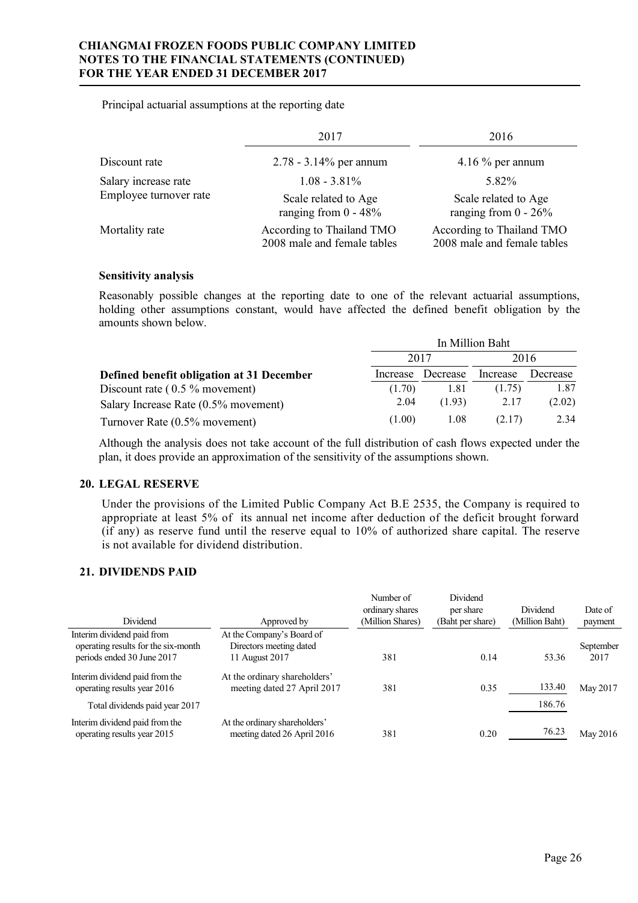Principal actuarial assumptions at the reporting date

|                        | 2017                                                     | 2016                                                     |
|------------------------|----------------------------------------------------------|----------------------------------------------------------|
| Discount rate          | $2.78 - 3.14\%$ per annum                                | 4.16 $\%$ per annum                                      |
| Salary increase rate   | $1.08 - 3.81\%$                                          | 5.82%                                                    |
| Employee turnover rate | Scale related to Age<br>ranging from $0 - 48\%$          | Scale related to Age<br>ranging from $0 - 26\%$          |
| Mortality rate         | According to Thailand TMO<br>2008 male and female tables | According to Thailand TMO<br>2008 male and female tables |

### **Sensitivity analysis**

Reasonably possible changes at the reporting date to one of the relevant actuarial assumptions, holding other assumptions constant, would have affected the defined benefit obligation by the amounts shown below.

|                                           | In Million Baht |                   |          |          |  |
|-------------------------------------------|-----------------|-------------------|----------|----------|--|
|                                           |                 | 2017              | 2016     |          |  |
| Defined benefit obligation at 31 December |                 | Increase Decrease | Increase | Decrease |  |
| Discount rate $(0.5 %$ movement)          | (1.70)          | 1.81              | (1.75)   | 1.87     |  |
| Salary Increase Rate (0.5% movement)      | 2.04            | (1.93)            | 2.17     | (2.02)   |  |
| Turnover Rate (0.5% movement)             | (1.00)          | 1.08              | (2.17)   | 2.34     |  |

Although the analysis does not take account of the full distribution of cash flows expected under the plan, it does provide an approximation of the sensitivity of the assumptions shown.

# **20. LEGAL RESERVE**

Under the provisions of the Limited Public Company Act B.E 2535, the Company is required to appropriate at least 5% of its annual net income after deduction of the deficit brought forward (if any) as reserve fund until the reserve equal to 10% of authorized share capital. The reserve is not available for dividend distribution.

# **21. DIVIDENDS PAID**

| Dividend                                                                                        | Approved by                                                            | Number of<br>ordinary shares<br>(Million Shares) | Dividend<br>per share<br>(Baht per share) | Dividend<br>(Million Baht) | Date of<br>payment |
|-------------------------------------------------------------------------------------------------|------------------------------------------------------------------------|--------------------------------------------------|-------------------------------------------|----------------------------|--------------------|
| Interim dividend paid from<br>operating results for the six-month<br>periods ended 30 June 2017 | At the Company's Board of<br>Directors meeting dated<br>11 August 2017 | 381                                              | 0.14                                      | 53.36                      | September<br>2017  |
| Interim dividend paid from the<br>operating results year 2016<br>Total dividends paid year 2017 | At the ordinary shareholders'<br>meeting dated 27 April 2017           | 381                                              | 0.35                                      | 133.40<br>186.76           | May 2017           |
| Interim dividend paid from the<br>operating results year 2015                                   | At the ordinary shareholders'<br>meeting dated 26 April 2016           | 381                                              | 0.20                                      | 76.23                      | May 2016           |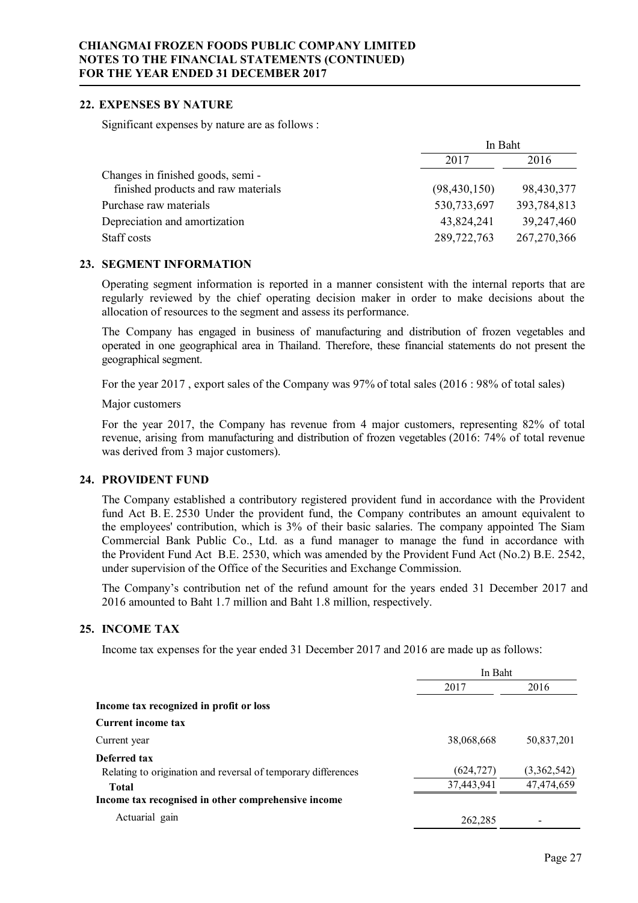### **22. EXPENSES BY NATURE**

Significant expenses by nature are as follows :

|                                     | In Baht        |               |  |
|-------------------------------------|----------------|---------------|--|
|                                     | 2017           | 2016          |  |
| Changes in finished goods, semi-    |                |               |  |
| finished products and raw materials | (98, 430, 150) | 98,430,377    |  |
| Purchase raw materials              | 530,733,697    | 393,784,813   |  |
| Depreciation and amortization       | 43,824,241     | 39,247,460    |  |
| Staff costs                         | 289,722,763    | 267, 270, 366 |  |

### **23. SEGMENT INFORMATION**

Operating segment information is reported in a manner consistent with the internal reports that are regularly reviewed by the chief operating decision maker in order to make decisions about the allocation of resources to the segment and assess its performance.

The Company has engaged in business of manufacturing and distribution of frozen vegetables and operated in one geographical area in Thailand. Therefore, these financial statements do not present the geographical segment.

For the year 2017 , export sales of the Company was 97% of total sales (2016 : 98% of total sales)

Major customers

For the year 2017, the Company has revenue from 4 major customers, representing 82% of total revenue, arising from manufacturing and distribution of frozen vegetables (2016: 74% of total revenue was derived from 3 major customers).

# **24. PROVIDENT FUND**

The Company established a contributory registered provident fund in accordance with the Provident fund Act B. E. 2530 Under the provident fund, the Company contributes an amount equivalent to the employees' contribution, which is 3% of their basic salaries. The company appointed The Siam Commercial Bank Public Co., Ltd. as a fund manager to manage the fund in accordance with the Provident Fund Act B.E. 2530, which was amended by the Provident Fund Act (No.2) B.E. 2542, under supervision of the Office of the Securities and Exchange Commission.

The Company's contribution net of the refund amount for the years ended 31 December 2017 and 2016 amounted to Baht 1.7 million and Baht 1.8 million, respectively.

### **25. INCOME TAX**

Income tax expenses for the year ended 31 December 2017 and 2016 are made up as follows:

|                                                               | In Baht    |             |  |
|---------------------------------------------------------------|------------|-------------|--|
|                                                               | 2017       | 2016        |  |
| Income tax recognized in profit or loss                       |            |             |  |
| <b>Current income tax</b>                                     |            |             |  |
| Current year                                                  | 38,068,668 | 50,837,201  |  |
| Deferred tax                                                  |            |             |  |
| Relating to origination and reversal of temporary differences | (624, 727) | (3,362,542) |  |
| <b>Total</b>                                                  | 37,443,941 | 47,474,659  |  |
| Income tax recognised in other comprehensive income           |            |             |  |
| Actuarial gain                                                | 262,285    |             |  |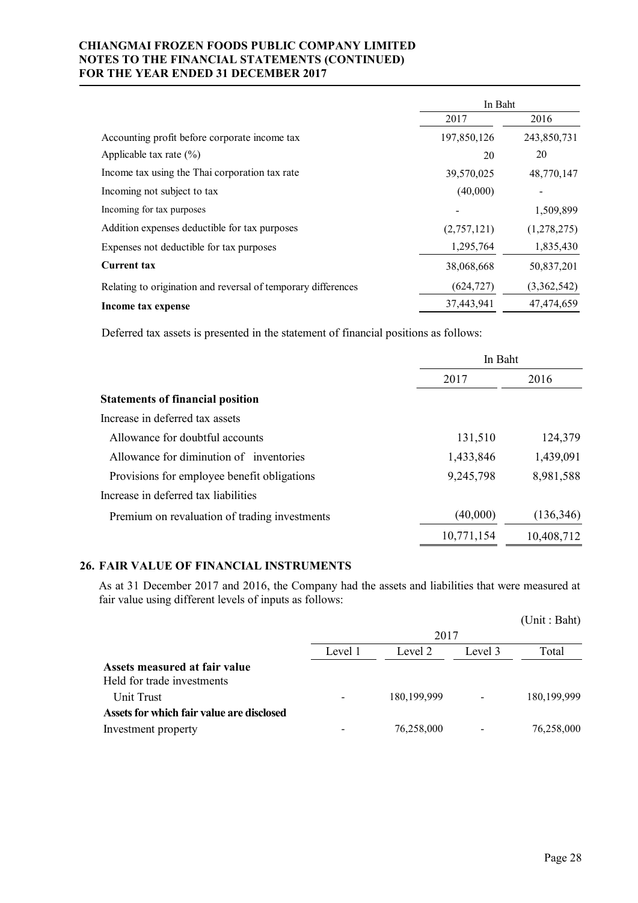|                                                               | In Baht     |             |  |
|---------------------------------------------------------------|-------------|-------------|--|
|                                                               | 2017        | 2016        |  |
| Accounting profit before corporate income tax                 | 197,850,126 | 243,850,731 |  |
| Applicable tax rate $(\% )$                                   | 20          | 20          |  |
| Income tax using the Thai corporation tax rate                | 39,570,025  | 48,770,147  |  |
| Incoming not subject to tax                                   | (40,000)    |             |  |
| Incoming for tax purposes                                     |             | 1,509,899   |  |
| Addition expenses deductible for tax purposes                 | (2,757,121) | (1,278,275) |  |
| Expenses not deductible for tax purposes                      | 1,295,764   | 1,835,430   |  |
| <b>Current tax</b>                                            | 38,068,668  | 50,837,201  |  |
| Relating to origination and reversal of temporary differences | (624, 727)  | (3,362,542) |  |
| Income tax expense                                            | 37,443,941  | 47,474,659  |  |

Deferred tax assets is presented in the statement of financial positions as follows:

|                                               | In Baht    |            |  |
|-----------------------------------------------|------------|------------|--|
|                                               | 2017       | 2016       |  |
| <b>Statements of financial position</b>       |            |            |  |
| Increase in deferred tax assets               |            |            |  |
| Allowance for doubtful accounts               | 131,510    | 124,379    |  |
| Allowance for diminution of inventories       | 1,433,846  | 1,439,091  |  |
| Provisions for employee benefit obligations   | 9,245,798  | 8,981,588  |  |
| Increase in deferred tax liabilities          |            |            |  |
| Premium on revaluation of trading investments | (40,000)   | (136, 346) |  |
|                                               | 10,771,154 | 10,408,712 |  |

# **26. FAIR VALUE OF FINANCIAL INSTRUMENTS**

As at 31 December 2017 and 2016, the Company had the assets and liabilities that were measured at fair value using different levels of inputs as follows:

|                                                             |         |               |         | (Unit: Baht)  |
|-------------------------------------------------------------|---------|---------------|---------|---------------|
|                                                             | 2017    |               |         |               |
|                                                             | Level 1 | Level 2       | Level 3 | Total         |
| Assets measured at fair value<br>Held for trade investments |         |               |         |               |
| Unit Trust                                                  |         | 180, 199, 999 |         | 180, 199, 999 |
| Assets for which fair value are disclosed                   |         |               |         |               |
| Investment property                                         |         | 76,258,000    |         | 76,258,000    |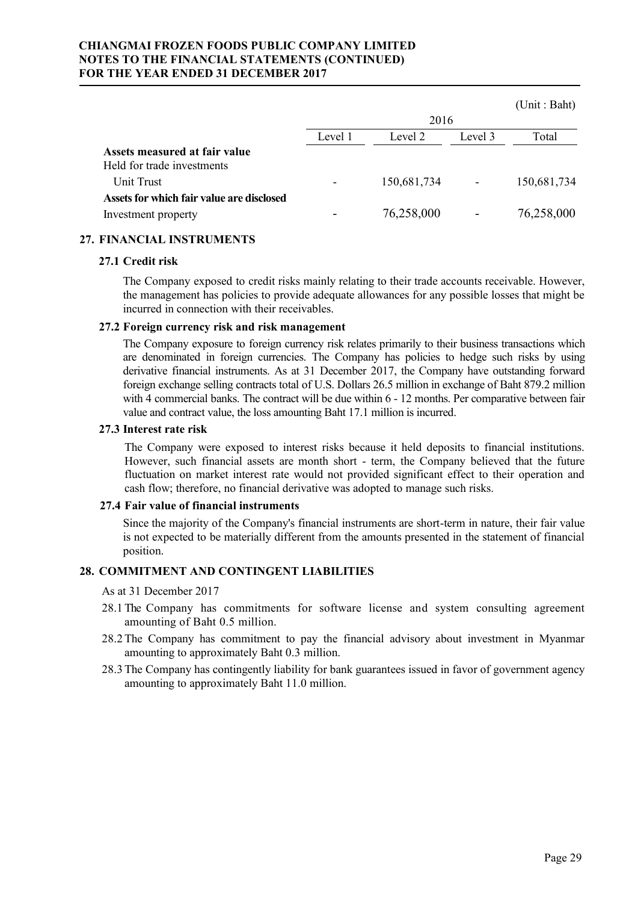|                                                                  |         |             |         | (Unit : Baht) |
|------------------------------------------------------------------|---------|-------------|---------|---------------|
|                                                                  |         | 2016        |         |               |
|                                                                  | Level 1 | Level 2     | Level 3 | Total         |
| Assets measured at fair value<br>Held for trade investments      |         |             |         |               |
| Unit Trust                                                       |         | 150,681,734 | -       | 150,681,734   |
| Assets for which fair value are disclosed<br>Investment property |         | 76,258,000  |         | 76,258,000    |
|                                                                  |         |             |         |               |

# **27. FINANCIAL INSTRUMENTS**

### **27.1 Credit risk**

The Company exposed to credit risks mainly relating to their trade accounts receivable. However, the management has policies to provide adequate allowances for any possible losses that might be incurred in connection with their receivables.

## **27.2 Foreign currency risk and risk management**

The Company exposure to foreign currency risk relates primarily to their business transactions which are denominated in foreign currencies. The Company has policies to hedge such risks by using derivative financial instruments. As at 31 December 2017, the Company have outstanding forward foreign exchange selling contracts total of U.S. Dollars 26.5 million in exchange of Baht 879.2 million with 4 commercial banks. The contract will be due within 6 - 12 months. Per comparative between fair value and contract value, the loss amounting Baht 17.1 million is incurred.

### **27.3 Interest rate risk**

The Company were exposed to interest risks because it held deposits to financial institutions. However, such financial assets are month short - term, the Company believed that the future fluctuation on market interest rate would not provided significant effect to their operation and cash flow; therefore, no financial derivative was adopted to manage such risks.

### **27.4 Fair value of financial instruments**

Since the majority of the Company's financial instruments are short-term in nature, their fair value is not expected to be materially different from the amounts presented in the statement of financial position.

# **28. COMMITMENT AND CONTINGENT LIABILITIES**

As at 31 December 2017

- 28.1 The Company has commitments for software license and system consulting agreement amounting of Baht 0.5 million.
- 28.2 The Company has commitment to pay the financial advisory about investment in Myanmar amounting to approximately Baht 0.3 million.
- 28.3 The Company has contingently liability for bank guarantees issued in favor of government agency amounting to approximately Baht 11.0 million.